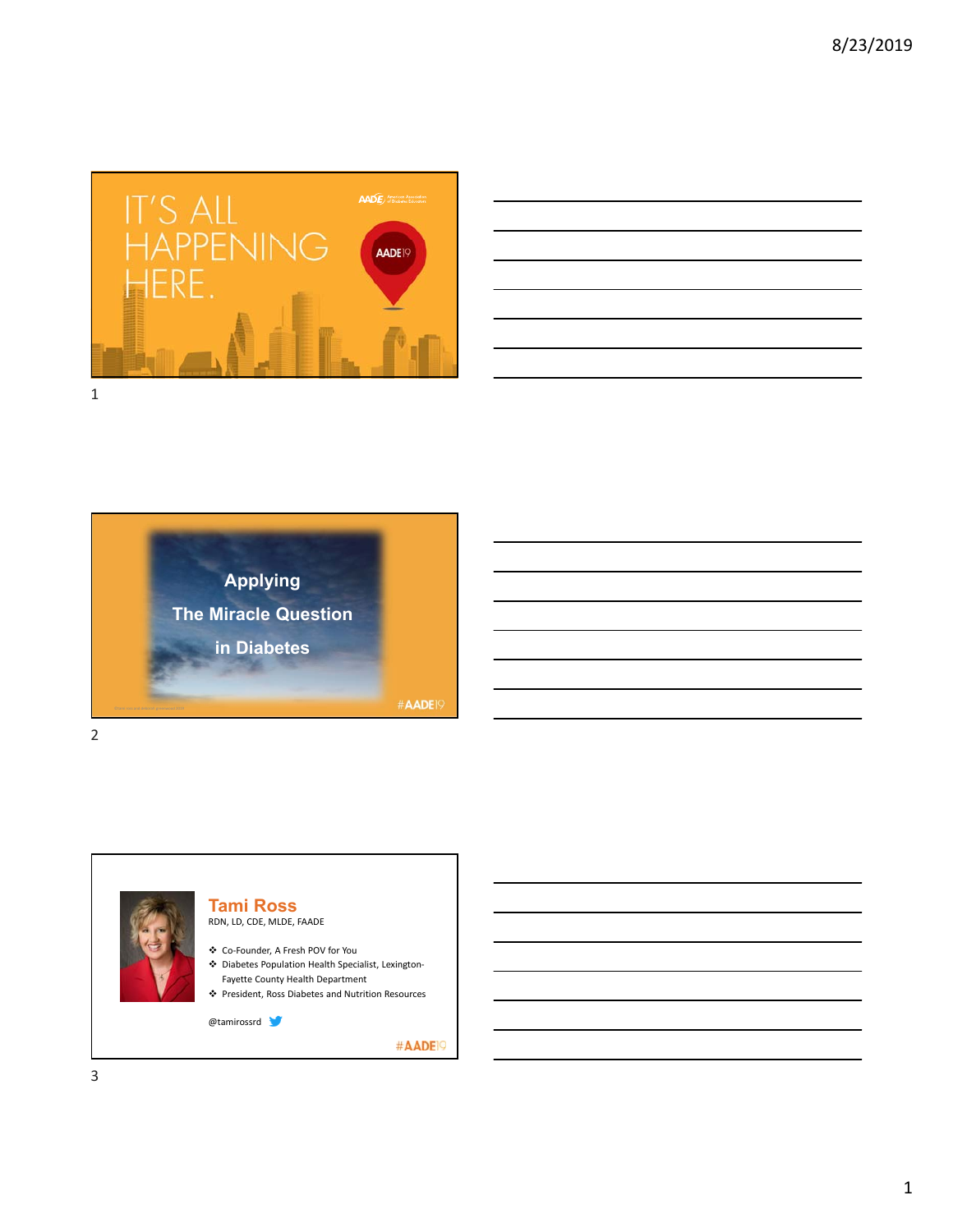

| $\overline{\phantom{a}}$                                                                                             |  |                                                                                                                      |  |
|----------------------------------------------------------------------------------------------------------------------|--|----------------------------------------------------------------------------------------------------------------------|--|
|                                                                                                                      |  |                                                                                                                      |  |
| <u> Andreas Andreas Andreas Andreas Andreas Andreas Andreas Andreas Andreas Andreas Andreas Andreas Andreas Andr</u> |  |                                                                                                                      |  |
|                                                                                                                      |  |                                                                                                                      |  |
|                                                                                                                      |  | <u> 1989 - Andrea Santa Andrea Andrea Andrea Andrea Andrea Andrea Andrea Andrea Andrea Andrea Andrea Andrea Andr</u> |  |
|                                                                                                                      |  |                                                                                                                      |  |







**Tami Ross**

Co‐Founder, A Fresh POV for You

- Diabetes Population Health Specialist, Lexington‐ Fayette County Health Department
- President, Ross Diabetes and Nutrition Resources

@tamirossrd

#AADE<sup>19</sup>

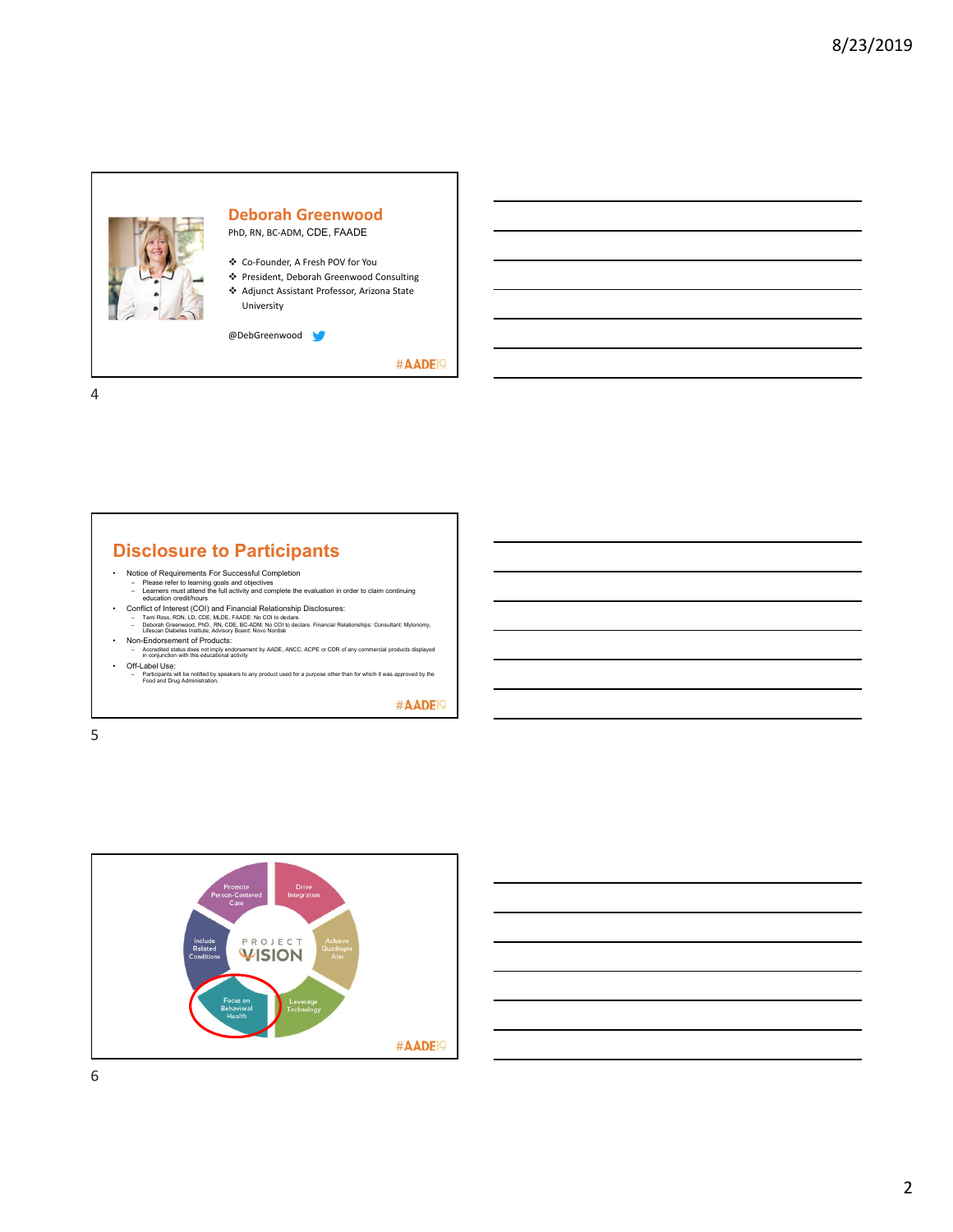

4

## **Disclosure to Participants**

- 
- Notice of Requirements For Successful Completion<br>
 Please refer to learning goals and objectives<br>
 Learners must attend the full activity and complete the evaluation in order to claim continuing<br>
 Conflict of Interest
- 
- 
- -
- Off-Label Use: Participants will be notified by speakers to any product used for a purpose other than for which it was approved by the Food and Drug Administration.

#AADE<sup>19</sup>



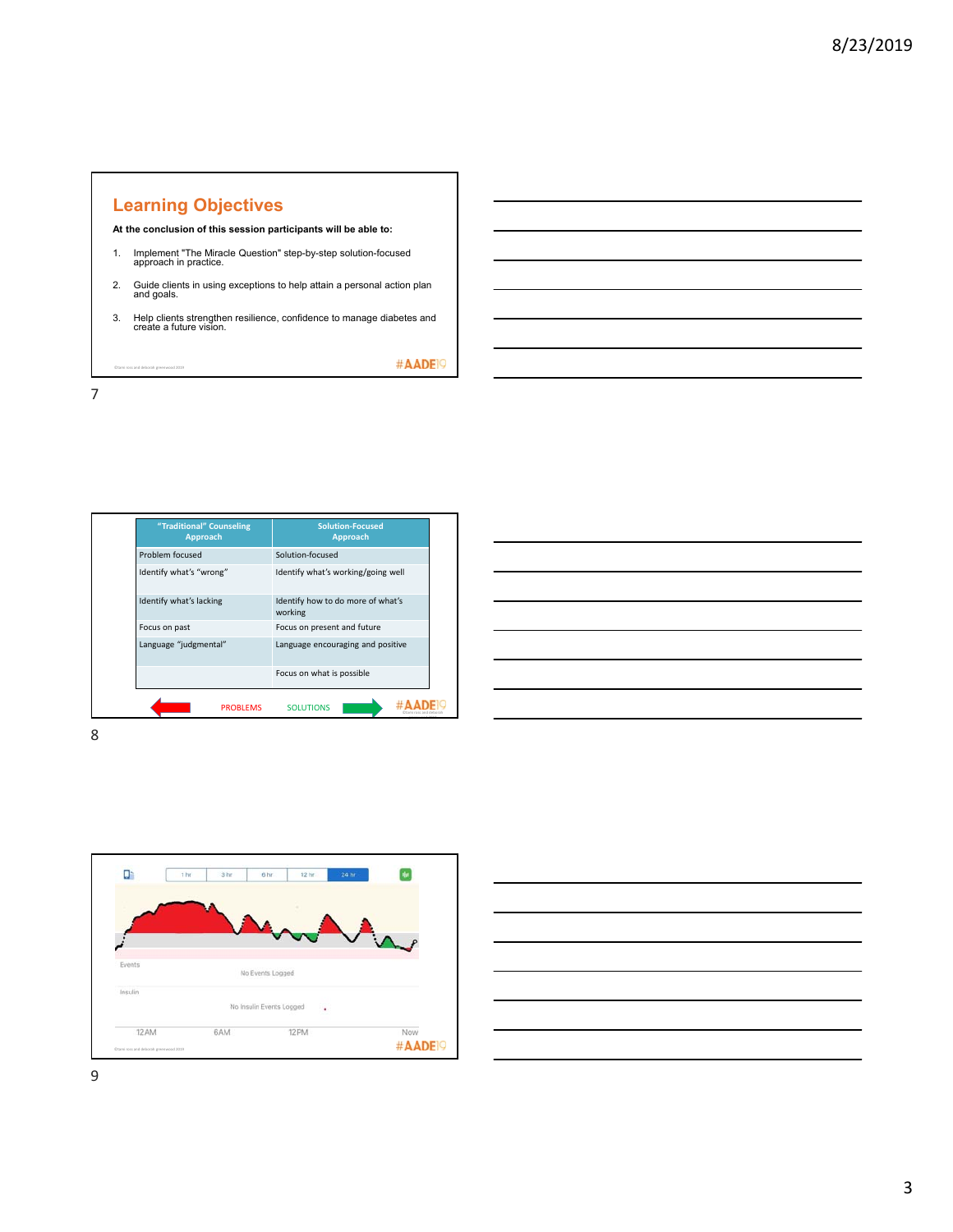## **Learning Objectives**

**At the conclusion of this session participants will be able to:**

- 1. Implement "The Miracle Question" step-by-step solution-focused approach in practice.
- 2. Guide clients in using exceptions to help attain a personal action plan and goals.
- 3. Help clients strengthen resilience, confidence to manage diabetes and create a future vision.

#AADE<sup>19</sup>

©tami ross and deborah greenwood 2019

7

8

**"Traditional" Counseling Approach Solution‐Focused Approach** Problem focused Solution-focused Identify what's "wrong" Identify what's working/going well Identify what's lacking Identify how to do more of what's working Focus on past Focus on present and future Language "judgmental" Language encouraging and positive Focus on what is possible **PROBLEMS** SOLUTIONS **NORTH RADE** greenwood 2019

| $\overline{\phantom{a}}$ |
|--------------------------|
|                          |
|                          |
|                          |
|                          |
|                          |
| ____                     |
|                          |
|                          |
|                          |
|                          |



|                                                                                                                       |  |  |  | $\overline{\phantom{a}}$ |  |
|-----------------------------------------------------------------------------------------------------------------------|--|--|--|--------------------------|--|
| <u> 1989 - Andrea Santa Andrea Andrea Andrea Andrea Andrea Andrea Andrea Andrea Andrea Andrea Andrea Andrea Andr</u>  |  |  |  |                          |  |
| <u> 1989 - Johann Stoff, deutscher Stoff, der Stoff, der Stoff, der Stoff, der Stoff, der Stoff, der Stoff, der S</u> |  |  |  |                          |  |
|                                                                                                                       |  |  |  |                          |  |
|                                                                                                                       |  |  |  |                          |  |
|                                                                                                                       |  |  |  |                          |  |
|                                                                                                                       |  |  |  |                          |  |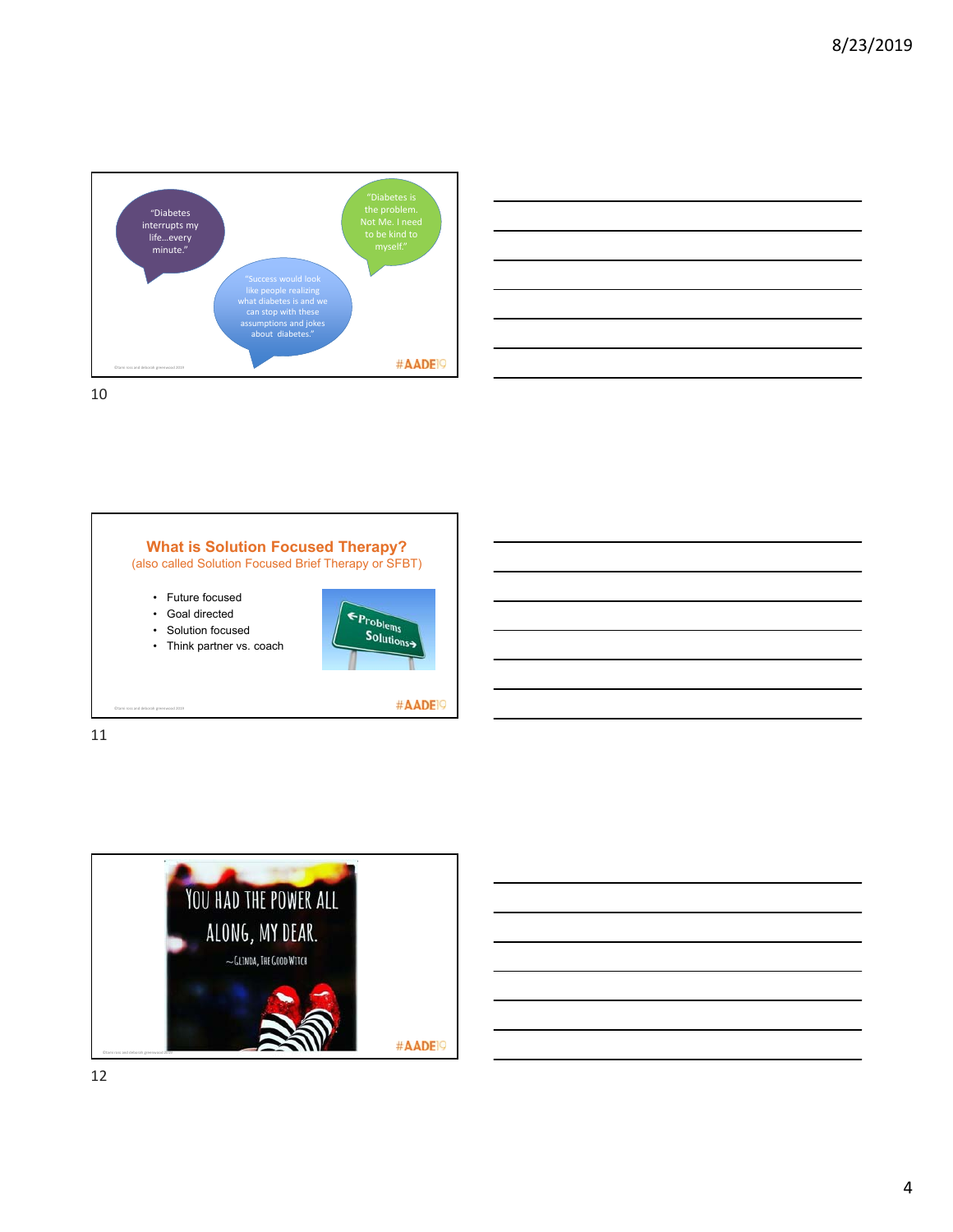









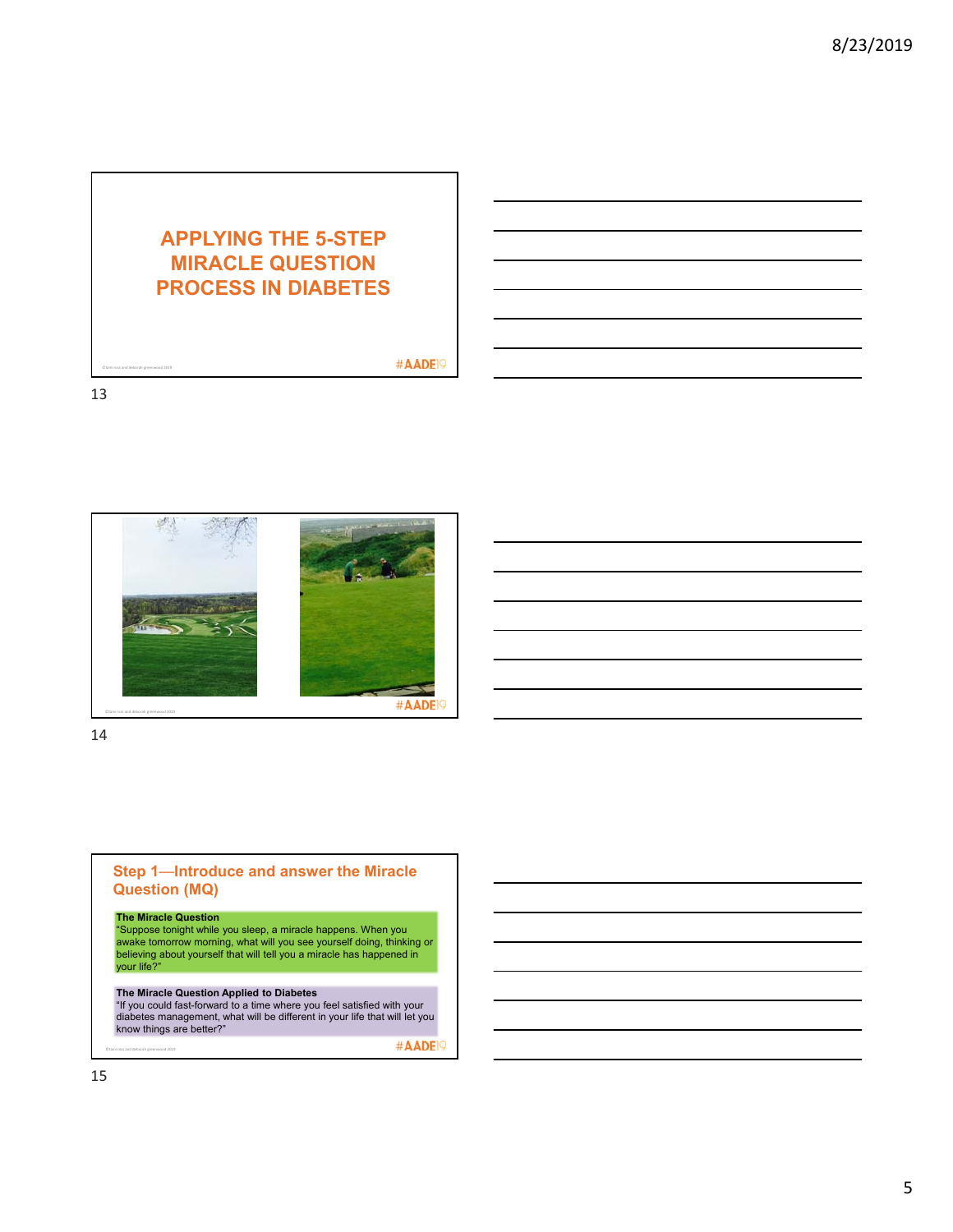# **APPLYING THE 5-STEP MIRACLE QUESTION PROCESS IN DIABETES**

#### #AADE<sup>19</sup>

13

©tami ross and deborah greenwood 2019



14



#AADE<sup>19</sup>

©tami ross and deborah greenwood 2019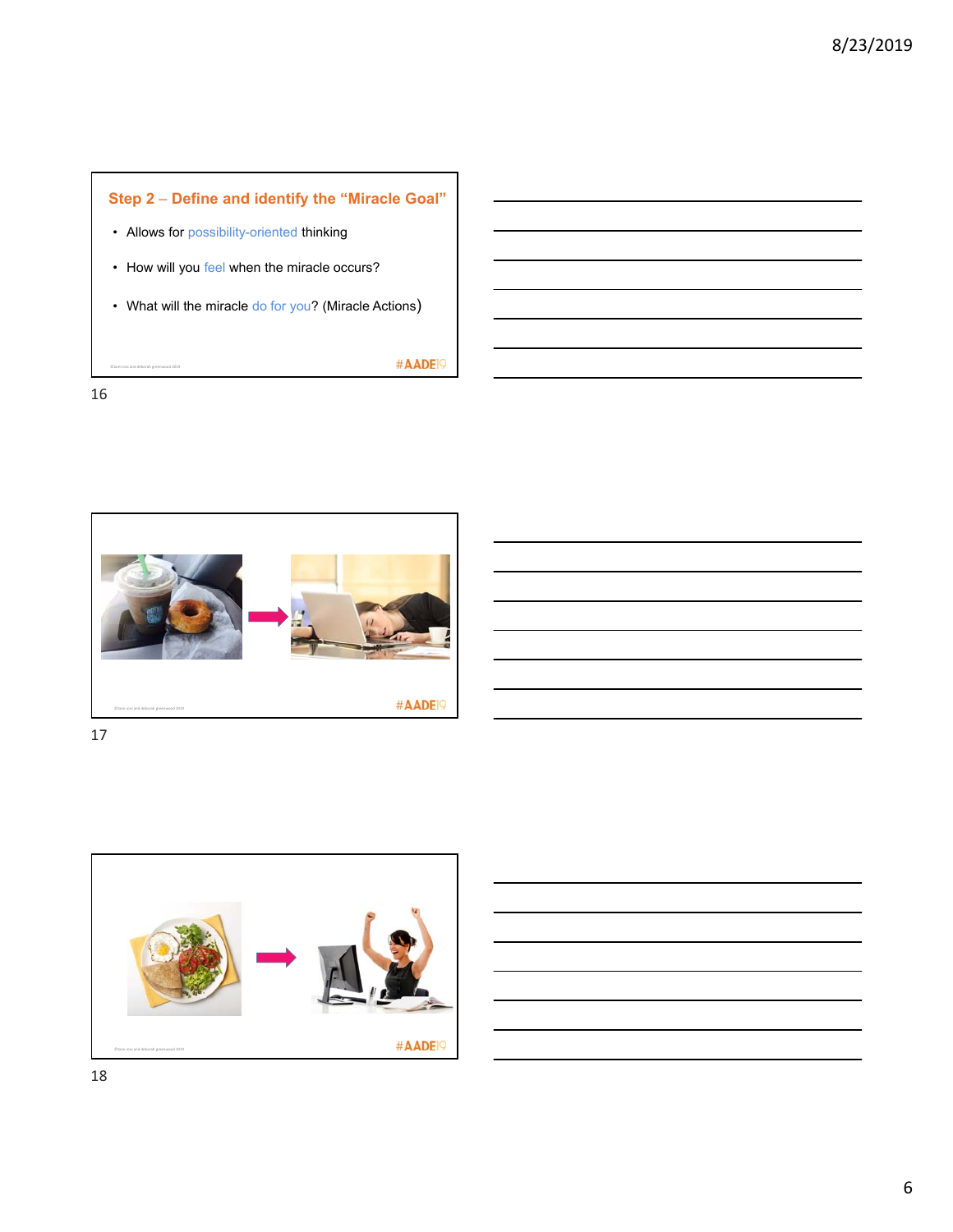

16



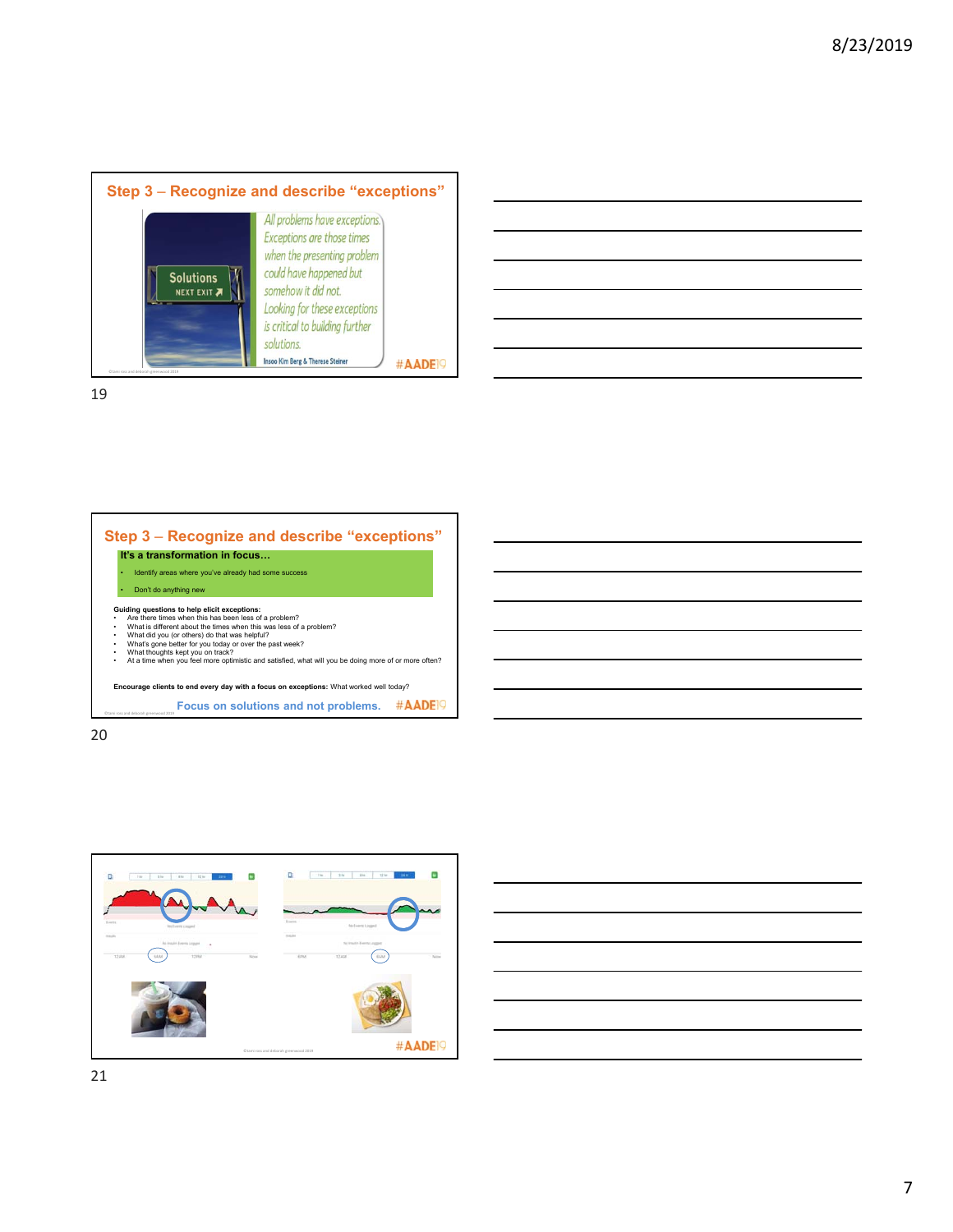







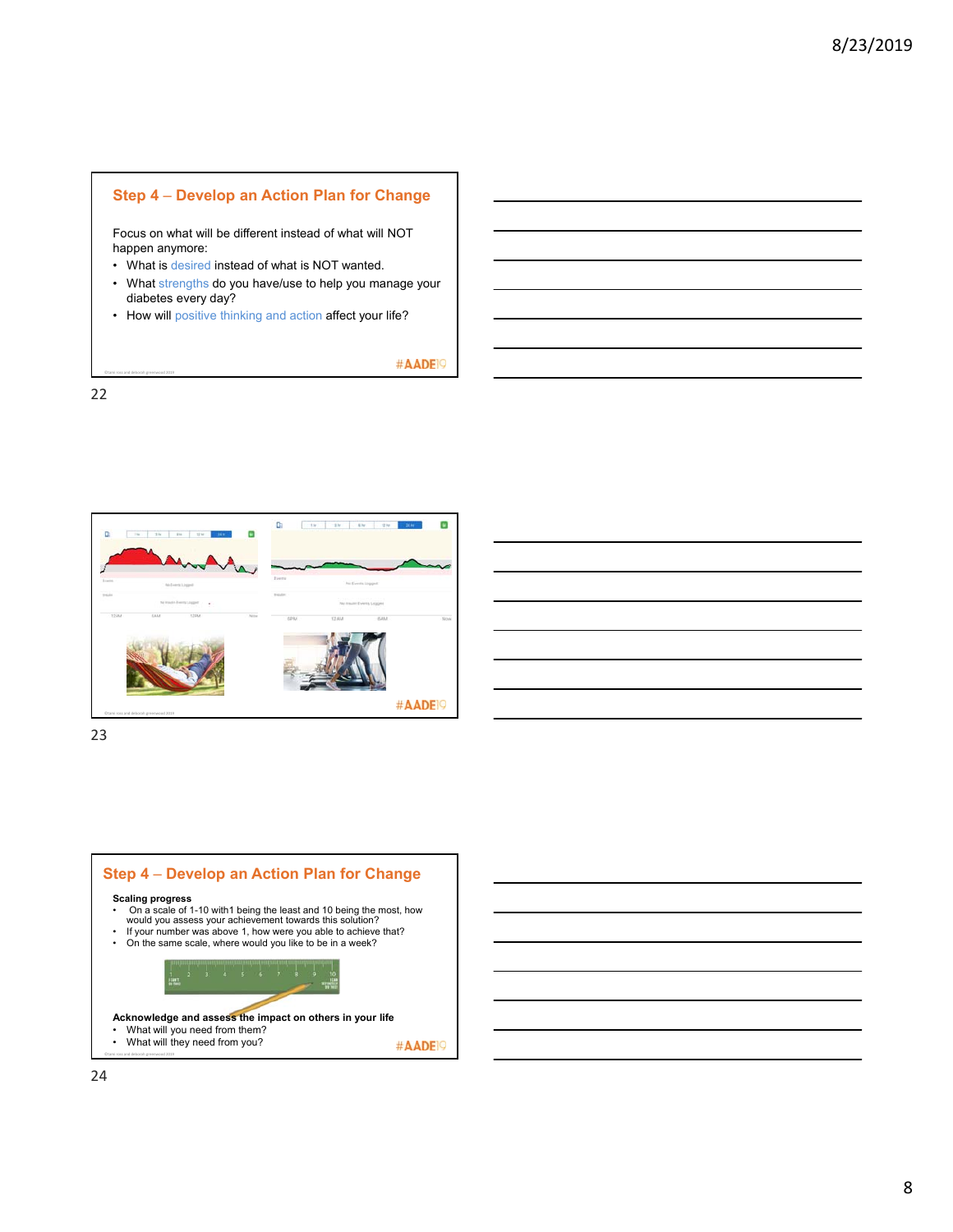#### **Step 4** – **Develop an Action Plan for Change**

Focus on what will be different instead of what will NOT happen anymore:

- What is desired instead of what is NOT wanted.
- What strengths do you have/use to help you manage your diabetes every day?
- How will positive thinking and action affect your life?

#AADE<sup>19</sup>

22

©tami ross and deborah greenwood 2019



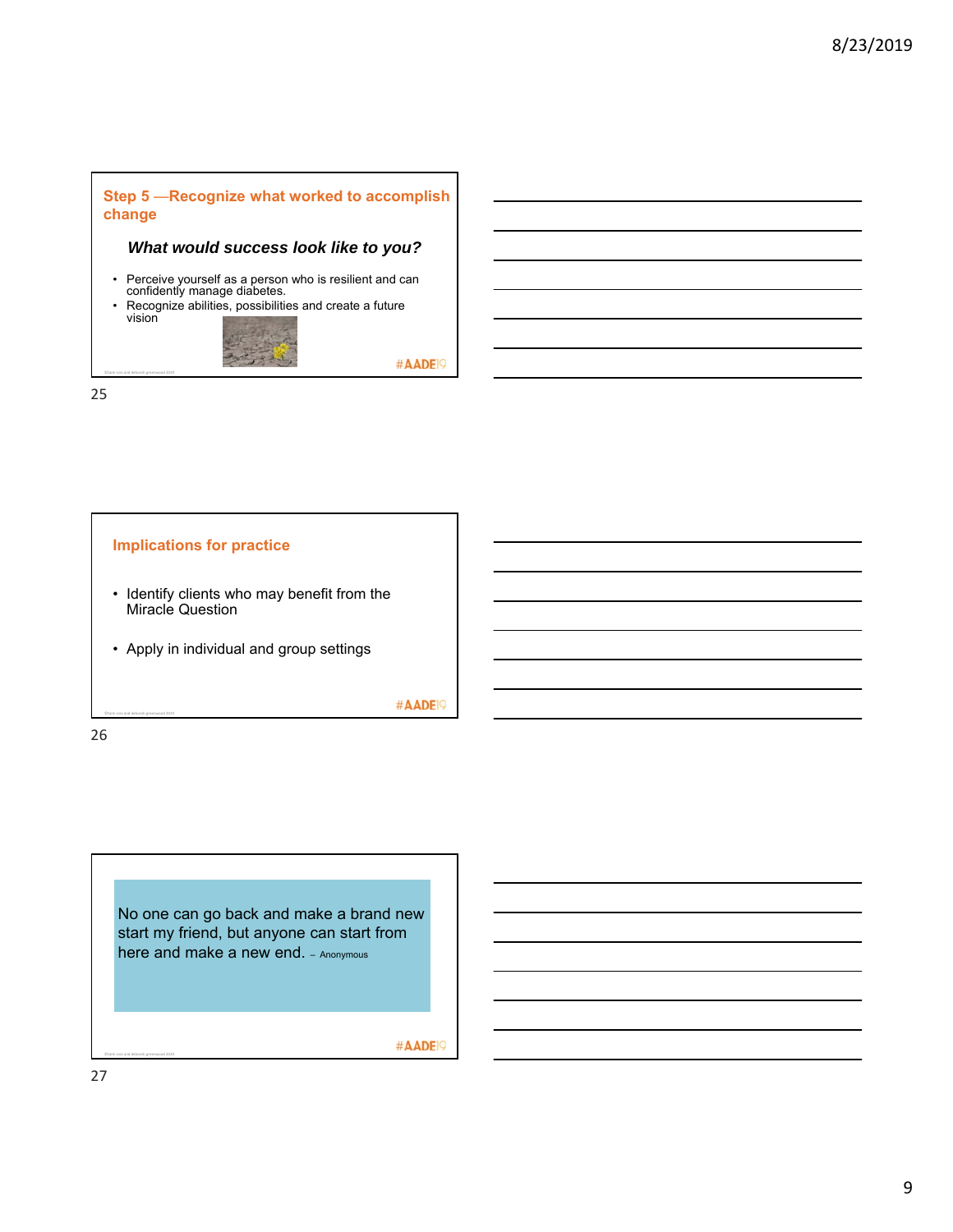

### *What would success look like to you?*

- Perceive yourself as a person who is resilient and can confidently manage diabetes.
- Recognize abilities, possibilities and create a future vision



25

©tami ross and deborah greenwood 2019



26

No one can go back and make a brand new start my friend, but anyone can start from here and make a new end. - Anonymous

#AADE<sup>19</sup>

#AADE<sup>19</sup>

27

©tami ross and deborah greenwood 2019